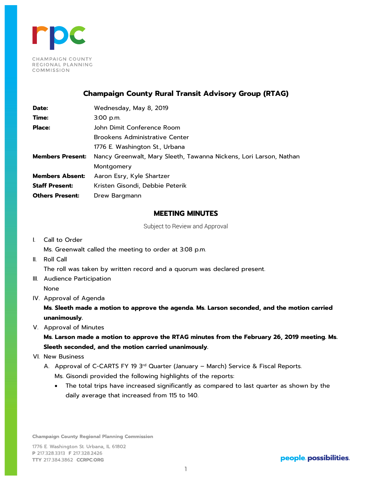

## **Champaign County Rural Transit Advisory Group (RTAG)**

| Date:                   | Wednesday, May 8, 2019                                             |
|-------------------------|--------------------------------------------------------------------|
| Time:                   | $3:00$ p.m.                                                        |
| <b>Place:</b>           | John Dimit Conference Room                                         |
|                         | Brookens Administrative Center                                     |
|                         | 1776 E. Washington St., Urbana                                     |
| <b>Members Present:</b> | Nancy Greenwalt, Mary Sleeth, Tawanna Nickens, Lori Larson, Nathan |
|                         | Montgomery                                                         |
| <b>Members Absent:</b>  | Aaron Esry, Kyle Shartzer                                          |
| <b>Staff Present:</b>   | Kristen Gisondi, Debbie Peterik                                    |
| <b>Others Present:</b>  | Drew Bargmann                                                      |

## **MEETING MINUTES**

Subject to Review and Approval

I. Call to Order

Ms. Greenwalt called the meeting to order at 3:08 p.m.

II. Roll Call

The roll was taken by written record and a quorum was declared present.

- III. Audience Participation None
- IV. Approval of Agenda

**Ms. Sleeth made a motion to approve the agenda. Ms. Larson seconded, and the motion carried unanimously.**

V. Approval of Minutes

**Ms. Larson made a motion to approve the RTAG minutes from the February 26, 2019 meeting. Ms. Sleeth seconded, and the motion carried unanimously.**

VI. New Business

A. Approval of C-CARTS FY 19 3rd Quarter (January - March) Service & Fiscal Reports. Ms. Gisondi provided the following highlights of the reports:

• The total trips have increased significantly as compared to last quarter as shown by the daily average that increased from 115 to 140.

**Champaign County Regional Planning Commission**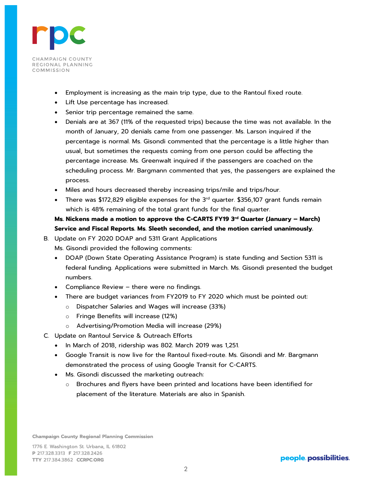

- Employment is increasing as the main trip type, due to the Rantoul fixed route.
- Lift Use percentage has increased.
- Senior trip percentage remained the same.
- Denials are at 367 (11% of the requested trips) because the time was not available. In the month of January, 20 denials came from one passenger. Ms. Larson inquired if the percentage is normal. Ms. Gisondi commented that the percentage is a little higher than usual, but sometimes the requests coming from one person could be affecting the percentage increase. Ms. Greenwalt inquired if the passengers are coached on the scheduling process. Mr. Bargmann commented that yes, the passengers are explained the process.
- Miles and hours decreased thereby increasing trips/mile and trips/hour.
- There was \$172,829 eligible expenses for the 3<sup>rd</sup> quarter. \$356,107 grant funds remain which is 48% remaining of the total grant funds for the final quarter.

## **Ms. Nickens made a motion to approve the C-CARTS FY19 3rd Quarter (January – March) Service and Fiscal Reports. Ms. Sleeth seconded, and the motion carried unanimously.**

B. Update on FY 2020 DOAP and 5311 Grant Applications

Ms. Gisondi provided the following comments:

- DOAP (Down State Operating Assistance Program) is state funding and Section 5311 is federal funding. Applications were submitted in March. Ms. Gisondi presented the budget numbers.
- Compliance Review there were no findings.
- There are budget variances from FY2019 to FY 2020 which must be pointed out:
	- o Dispatcher Salaries and Wages will increase (33%)
	- o Fringe Benefits will increase (12%)
	- o Advertising/Promotion Media will increase (29%)
- C. Update on Rantoul Service & Outreach Efforts
	- In March of 2018, ridership was 802. March 2019 was 1,251.
	- Google Transit is now live for the Rantoul fixed-route. Ms. Gisondi and Mr. Bargmann demonstrated the process of using Google Transit for C-CARTS.
	- Ms. Gisondi discussed the marketing outreach:
		- o Brochures and flyers have been printed and locations have been identified for placement of the literature. Materials are also in Spanish.

**Champaign County Regional Planning Commission**